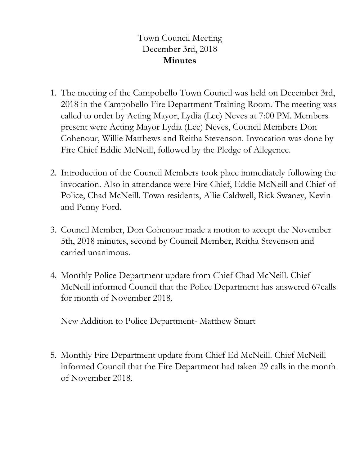## Town Council Meeting December 3rd, 2018 **Minutes**

- 1. The meeting of the Campobello Town Council was held on December 3rd, 2018 in the Campobello Fire Department Training Room. The meeting was called to order by Acting Mayor, Lydia (Lee) Neves at 7:00 PM. Members present were Acting Mayor Lydia (Lee) Neves, Council Members Don Cohenour, Willie Matthews and Reitha Stevenson. Invocation was done by Fire Chief Eddie McNeill, followed by the Pledge of Allegence.
- 2. Introduction of the Council Members took place immediately following the invocation. Also in attendance were Fire Chief, Eddie McNeill and Chief of Police, Chad McNeill. Town residents, Allie Caldwell, Rick Swaney, Kevin and Penny Ford.
- 3. Council Member, Don Cohenour made a motion to accept the November 5th, 2018 minutes, second by Council Member, Reitha Stevenson and carried unanimous.
- 4. Monthly Police Department update from Chief Chad McNeill. Chief McNeill informed Council that the Police Department has answered 67calls for month of November 2018.

New Addition to Police Department- Matthew Smart

5. Monthly Fire Department update from Chief Ed McNeill. Chief McNeill informed Council that the Fire Department had taken 29 calls in the month of November 2018.